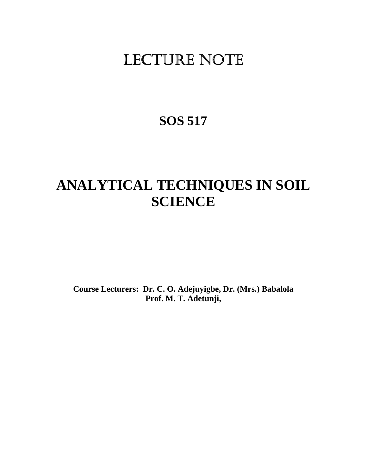# LECTURE NOTE

## **SOS 517**

## **ANALYTICAL TECHNIQUES IN SOIL SCIENCE**

**Course Lecturers: Dr. C. O. Adejuyigbe, Dr. (Mrs.) Babalola Prof. M. T. Adetunji,**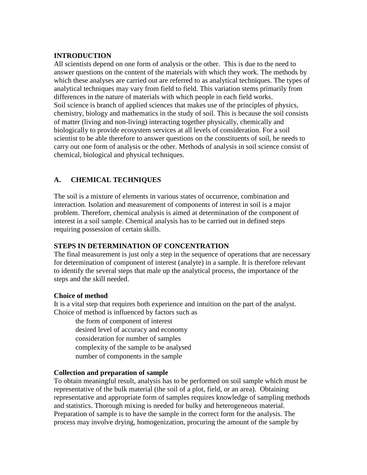## **INTRODUCTION**

All scientists depend on one form of analysis or the other. This is due to the need to answer questions on the content of the materials with which they work. The methods by which these analyses are carried out are referred to as analytical techniques. The types of analytical techniques may vary from field to field. This variation stems primarily from differences in the nature of materials with which people in each field works. Soil science is branch of applied sciences that makes use of the principles of physics, chemistry, biology and mathematics in the study of soil. This is because the soil consists of matter (living and non-living) interacting together physically, chemically and biologically to provide ecosystem services at all levels of consideration. For a soil scientist to be able therefore to answer questions on the constituents of soil, he needs to carry out one form of analysis or the other. Methods of analysis in soil science consist of chemical, biological and physical techniques.

## **A. CHEMICAL TECHNIQUES**

The soil is a mixture of elements in various states of occurrence, combination and interaction. Isolation and measurement of components of interest in soil is a major problem. Therefore, chemical analysis is aimed at determination of the component of interest in a soil sample. Chemical analysis has to be carried out in defined steps requiring possession of certain skills.

## **STEPS IN DETERMINATION OF CONCENTRATION**

The final measurement is just only a step in the sequence of operations that are necessary for determination of component of interest (analyte) in a sample. It is therefore relevant to identify the several steps that male up the analytical process, the importance of the steps and the skill needed.

#### **Choice of method**

It is a vital step that requires both experience and intuition on the part of the analyst. Choice of method is influenced by factors such as

- the form of component of interest
- desired level of accuracy and economy
- consideration for number of samples
- complexity of the sample to be analysed
- number of components in the sample

#### **Collection and preparation of sample**

To obtain meaningful result, analysis has to be performed on soil sample which must be representative of the bulk material (the soil of a plot, field, or an area). Obtaining representative and appropriate form of samples requires knowledge of sampling methods and statistics. Thorough mixing is needed for bulky and heterogeneous material. Preparation of sample is to have the sample in the correct form for the analysis. The process may involve drying, homogenization, procuring the amount of the sample by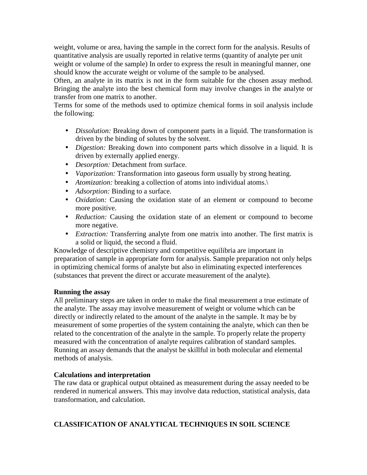weight, volume or area, having the sample in the correct form for the analysis. Results of quantitative analysis are usually reported in relative terms (quantity of analyte per unit weight or volume of the sample) In order to express the result in meaningful manner, one should know the accurate weight or volume of the sample to be analysed.

Often, an analyte in its matrix is not in the form suitable for the chosen assay method. Bringing the analyte into the best chemical form may involve changes in the analyte or transfer from one matrix to another.

Terms for some of the methods used to optimize chemical forms in soil analysis include the following:

- *Dissolution:* Breaking down of component parts in a liquid. The transformation is driven by the binding of solutes by the solvent.
- *Digestion:* Breaking down into component parts which dissolve in a liquid. It is driven by externally applied energy.
- *Desorption:* Detachment from surface.
- *Vaporization:* Transformation into gaseous form usually by strong heating.
- *Atomization:* breaking a collection of atoms into individual atoms.\
- *Adsorption:* Binding to a surface.
- *Oxidation:* Causing the oxidation state of an element or compound to become more positive.
- *Reduction:* Causing the oxidation state of an element or compound to become more negative.
- *Extraction:* Transferring analyte from one matrix into another. The first matrix is a solid or liquid, the second a fluid.

Knowledge of descriptive chemistry and competitive equilibria are important in preparation of sample in appropriate form for analysis. Sample preparation not only helps in optimizing chemical forms of analyte but also in eliminating expected interferences (substances that prevent the direct or accurate measurement of the analyte).

## **Running the assay**

All preliminary steps are taken in order to make the final measurement a true estimate of the analyte. The assay may involve measurement of weight or volume which can be directly or indirectly related to the amount of the analyte in the sample. It may be by measurement of some properties of the system containing the analyte, which can then be related to the concentration of the analyte in the sample. To properly relate the property measured with the concentration of analyte requires calibration of standard samples. Running an assay demands that the analyst be skillful in both molecular and elemental methods of analysis.

## **Calculations and interpretation**

The raw data or graphical output obtained as measurement during the assay needed to be rendered in numerical answers. This may involve data reduction, statistical analysis, data transformation, and calculation.

## **CLASSIFICATION OF ANALYTICAL TECHNIQUES IN SOIL SCIENCE**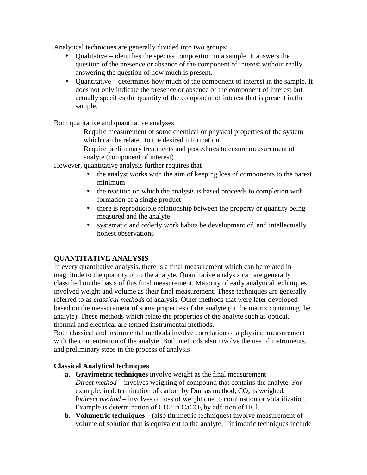Analytical techniques are generally divided into two groups:

- Qualitative identifies the species composition in a sample. It answers the question of the presence or absence of the component of interest without really answering the question of how much is present.
- Quantitative determines how much of the component of interest in the sample. It does not only indicate the presence or absence of the component of interest but actually specifies the quantity of the component of interest that is present in the sample.

Both qualitative and quantitative analyses

- Require measurement of some chemical or physical properties of the system which can be related to the desired information.
- Require preliminary treatments and procedures to ensure measurement of analyte (component of interest)

However, quantitative analysis further requires that

- the analyst works with the aim of keeping loss of components to the barest minimum
- the reaction on which the analysis is based proceeds to completion with formation of a single product
- there is reproducible relationship between the property or quantity being measured and the analyte
- systematic and orderly work habits be development of, and intellectually honest observations

## **QUANTITATIVE ANALYSIS**

In every quantitative analysis, there is a final measurement which can be related in magnitude to the quantity of to the analyte. Quantitative analysis can are generally classified on the basis of this final measurement. Majority of early analytical techniques involved weight and volume as their final measurement. These techniques are generally referred to as *classical methods* of analysis. Other methods that were later developed based on the measurement of some properties of the analyte (or the matrix containing the analyte). These methods which relate the properties of the analyte such as optical, thermal and electrical are termed instrumental methods.

Both classical and instrumental methods involve correlation of a physical measurement with the concentration of the analyte. Both methods also involve the use of instruments, and preliminary steps in the process of analysis

## **Classical Analytical techniques**

- **a. Gravimetric techniques** involve weight as the final measurement *Direct method* – involves weighing of compound that contains the analyte. For example, in determination of carbon by Dumas method,  $CO<sub>2</sub>$  is weighed. *Indirect method* – involves of loss of weight due to combustion or volatilization. Example is determination of  $CO<sub>2</sub>$  in  $CaCO<sub>3</sub>$  by addition of HCl.
- **b. Volumetric techniques** (also titrimetric techniques) involve measurement of volume of solution that is equivalent to the analyte. Titrimetric techniques include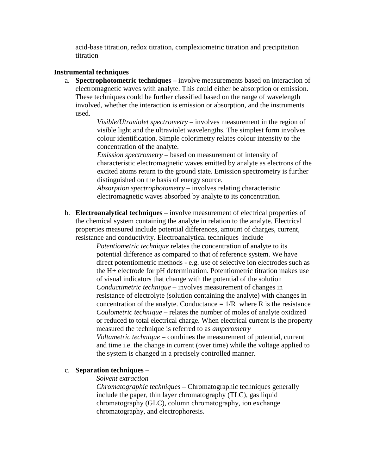acid-base titration, redox titration, complexiometric titration and precipitation titration

#### **Instrumental techniques**

a. **Spectrophotometric techniques –** involve measurements based on interaction of electromagnetic waves with analyte. This could either be absorption or emission. These techniques could be further classified based on the range of wavelength involved, whether the interaction is emission or absorption, and the instruments used.

> *Visible/Utraviolet spectrometry* – involves measurement in the region of visible light and the ultraviolet wavelengths. The simplest form involves colour identification. Simple colorimetry relates colour intensity to the concentration of the analyte.

*Emission spectrometry* – based on measurement of intensity of characteristic electromagnetic waves emitted by analyte as electrons of the excited atoms return to the ground state. Emission spectrometry is further distinguished on the basis of energy source.

*Absorption spectrophotometry* – involves relating characteristic electromagnetic waves absorbed by analyte to its concentration.

b. **Electroanalytical techniques** – involve measurement of electrical properties of the chemical system containing the analyte in relation to the analyte. Electrical properties measured include potential differences, amount of charges, current, resistance and conductivity. Electroanalytical techniques include

> *Potentiometric technique* relates the concentration of analyte to its potential difference as compared to that of reference system. We have direct potentiometric methods - e.g. use of selective ion electrodes such as the H+ electrode for pH determination. Potentiometric titration makes use of visual indicators that change with the potential of the solution *Conductimetric technique* – involves measurement of changes in resistance of electrolyte (solution containing the analyte) with changes in concentration of the analyte. Conductance  $= 1/R$  where R is the resistance *Coulometric technique* – relates the number of moles of analyte oxidized or reduced to total electrical charge. When electrical current is the property measured the technique is referred to as *amperometry Voltametric technique* – combines the measurement of potential, current and time i.e. the change in current (over time) while the voltage applied to the system is changed in a precisely controlled manner.

#### c. **Separation techniques** –

#### *Solvent extraction*

*Chromatographic techniques* – Chromatographic techniques generally include the paper, thin layer chromatography (TLC), gas liquid chromatography (GLC), column chromatography, ion exchange chromatography, and electrophoresis.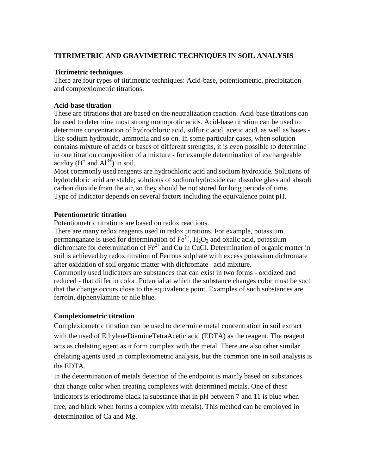## **TITRIMETRIC AND GRAVIMETRIC TECHNIQUES IN SOIL ANALYSIS**

#### **Titrimetric techniques**

There are four types of titrimetric techniques: Acid-base, potentiometric, precipitation and complexiometric titrations.

#### **Acid-base titration**

These are titrations that are based on the neutralization reaction. Acid-base titrations can be used to determine most strong monoprotic acids. Acid-base titration can be used to determine concentration of hydrochloric acid, sulfuric acid, acetic acid, as well as bases like sodium hydroxide, ammonia and so on. In some particular cases, when solution contains mixture of acids or bases of different strengths, it is even possible to determine in one titration composition of a mixture - for example determination of exchangeable acidity  $(H^+$  and  $Al^{3+})$  in soil.

Most commonly used reagents are hydrochloric acid and sodium hydroxide. Solutions of hydrochloric acid are stable; solutions of sodium hydroxide can dissolve glass and absorb carbon dioxide from the air, so they should be not stored for long periods of time. Type of indicator depends on several factors including the equivalence point pH.

#### **Potentiometric titration**

Potentiometric titrations are based on redox reactions.

There are many redox reagents used in redox titrations. For example, potassium permanganate is used for determination of  $\text{Fe}^{2+}$ ,  $\text{H}_2\text{O}_2$  and oxalic acid, potassium dichromate for determination of  $Fe<sup>2+</sup>$  and Cu in CuCl. Determination of organic matter in soil is achieved by redox titration of Ferrous sulphate with excess potassium dichromate after oxidation of soil organic matter with dichromate –acid mixture. Commonly used indicators are substances that can exist in two forms - oxidized and reduced - that differ in color. Potential at which the substance changes color must be such that the change occurs close to the equivalence point. Examples of such substances are ferroin, diphenylamine or nile blue.

#### **Complexiometric titration**

Complexiometric titration can be used to determine metal concentration in soil extract with the used of EthyleneDiamineTetraAcetic acid (EDTA) as the reagent. The reagent acts as chelating agent as it form complex with the metal. There are also other similar chelating agents used in complexiometric analysis, but the common one in soil analysis is the EDTA.

In the determination of metals detection of the endpoint is mainly based on substances that change color when creating complexes with determined metals. One of these indicators is eriochrome black (a substance that in pH between 7 and 11 is blue when free, and black when forms a complex with metals). This method can be employed in determination of Ca and Mg.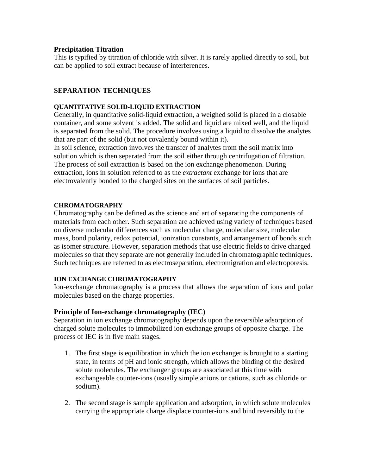#### **Precipitation Titration**

This is typified by titration of chloride with silver. It is rarely applied directly to soil, but can be applied to soil extract because of interferences.

## **SEPARATION TECHNIQUES**

#### **QUANTITATIVE SOLID-LIQUID EXTRACTION**

Generally, in quantitative solid-liquid extraction, a weighed solid is placed in a closable container, and some solvent is added. The solid and liquid are mixed well, and the liquid is separated from the solid. The procedure involves using a liquid to dissolve the analytes that are part of the solid (but not covalently bound within it).

In soil science, extraction involves the transfer of analytes from the soil matrix into solution which is then separated from the soil either through centrifugation of filtration. The process of soil extraction is based on the ion exchange phenomenon. During extraction, ions in solution referred to as the *extractant* exchange for ions that are electrovalently bonded to the charged sites on the surfaces of soil particles.

#### **CHROMATOGRAPHY**

Chromatography can be defined as the science and art of separating the components of materials from each other. Such separation are achieved using variety of techniques based on diverse molecular differences such as molecular charge, molecular size, molecular mass, bond polarity, redox potential, ionization constants, and arrangement of bonds such as isomer structure. However, separation methods that use electric fields to drive charged molecules so that they separate are not generally included in chromatographic techniques. Such techniques are referred to as electroseparation, electromigration and electroporesis.

#### **ION EXCHANGE CHROMATOGRAPHY**

Ion-exchange chromatography is a process that allows the separation of ions and polar molecules based on the charge properties.

#### **Principle of Ion-exchange chromatography (IEC)**

Separation in ion exchange chromatography depends upon the reversible adsorption of charged solute molecules to immobilized ion exchange groups of opposite charge. The process of IEC is in five main stages.

- 1. The first stage is equilibration in which the ion exchanger is brought to a starting state, in terms of pH and ionic strength, which allows the binding of the desired solute molecules. The exchanger groups are associated at this time with exchangeable counter-ions (usually simple anions or cations, such as chloride or sodium).
- 2. The second stage is sample application and adsorption, in which solute molecules carrying the appropriate charge displace counter-ions and bind reversibly to the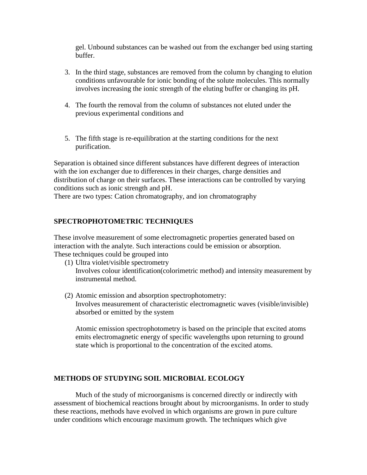gel. Unbound substances can be washed out from the exchanger bed using starting buffer.

- 3. In the third stage, substances are removed from the column by changing to elution conditions unfavourable for ionic bonding of the solute molecules. This normally involves increasing the ionic strength of the eluting buffer or changing its pH.
- 4. The fourth the removal from the column of substances not eluted under the previous experimental conditions and
- 5. The fifth stage is re-equilibration at the starting conditions for the next purification.

Separation is obtained since different substances have different degrees of interaction with the ion exchanger due to differences in their charges, charge densities and distribution of charge on their surfaces. These interactions can be controlled by varying conditions such as ionic strength and pH.

There are two types: Cation chromatography, and ion chromatography

## **SPECTROPHOTOMETRIC TECHNIQUES**

These involve measurement of some electromagnetic properties generated based on interaction with the analyte. Such interactions could be emission or absorption. These techniques could be grouped into

- (1) Ultra violet/visible spectrometry Involves colour identification(colorimetric method) and intensity measurement by instrumental method.
- (2) Atomic emission and absorption spectrophotometry: Involves measurement of characteristic electromagnetic waves (visible/invisible) absorbed or emitted by the system

Atomic emission spectrophotometry is based on the principle that excited atoms emits electromagnetic energy of specific wavelengths upon returning to ground state which is proportional to the concentration of the excited atoms.

#### **METHODS OF STUDYING SOIL MICROBIAL ECOLOGY**

Much of the study of microorganisms is concerned directly or indirectly with assessment of biochemical reactions brought about by microorganisms. In order to study these reactions, methods have evolved in which organisms are grown in pure culture under conditions which encourage maximum growth. The techniques which give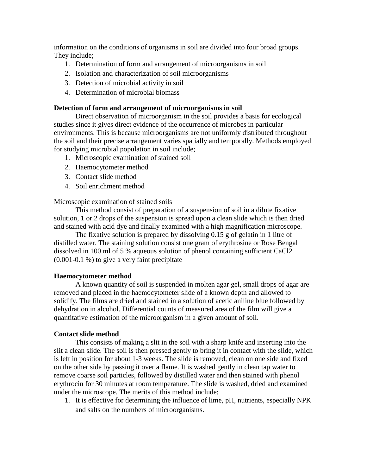information on the conditions of organisms in soil are divided into four broad groups. They include;

- 1. Determination of form and arrangement of microorganisms in soil
- 2. Isolation and characterization of soil microorganisms
- 3. Detection of microbial activity in soil
- 4. Determination of microbial biomass

#### **Detection of form and arrangement of microorganisms in soil**

 Direct observation of microorganism in the soil provides a basis for ecological studies since it gives direct evidence of the occurrence of microbes in particular environments. This is because microorganisms are not uniformly distributed throughout the soil and their precise arrangement varies spatially and temporally. Methods employed for studying microbial population in soil include;

- 1. Microscopic examination of stained soil
- 2. Haemocytometer method
- 3. Contact slide method
- 4. Soil enrichment method

Microscopic examination of stained soils

 This method consist of preparation of a suspension of soil in a dilute fixative solution, 1 or 2 drops of the suspension is spread upon a clean slide which is then dried and stained with acid dye and finally examined with a high magnification microscope.

 The fixative solution is prepared by dissolving 0.15 g of gelatin in 1 litre of distilled water. The staining solution consist one gram of erythrosine or Rose Bengal dissolved in 100 ml of 5 % aqueous solution of phenol containing sufficient CaCl2 (0.001-0.1 %) to give a very faint precipitate

#### **Haemocytometer method**

 A known quantity of soil is suspended in molten agar gel, small drops of agar are removed and placed in the haemocytometer slide of a known depth and allowed to solidify. The films are dried and stained in a solution of acetic aniline blue followed by dehydration in alcohol. Differential counts of measured area of the film will give a quantitative estimation of the microorganism in a given amount of soil.

#### **Contact slide method**

 This consists of making a slit in the soil with a sharp knife and inserting into the slit a clean slide. The soil is then pressed gently to bring it in contact with the slide, which is left in position for about 1-3 weeks. The slide is removed, clean on one side and fixed on the other side by passing it over a flame. It is washed gently in clean tap water to remove coarse soil particles, followed by distilled water and then stained with phenol erythrocin for 30 minutes at room temperature. The slide is washed, dried and examined under the microscope. The merits of this method include;

1. It is effective for determining the influence of lime, pH, nutrients, especially NPK and salts on the numbers of microorganisms.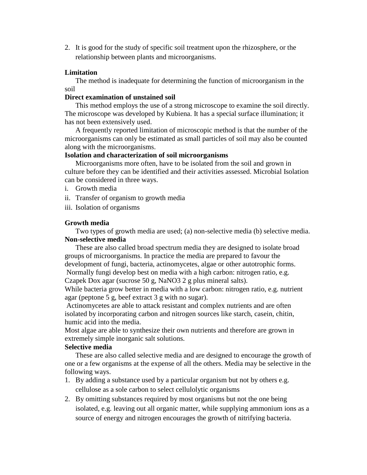2. It is good for the study of specific soil treatment upon the rhizosphere, or the relationship between plants and microorganisms.

#### **Limitation**

 The method is inadequate for determining the function of microorganism in the soil

## **Direct examination of unstained soil**

 This method employs the use of a strong microscope to examine the soil directly. The microscope was developed by Kubiena. It has a special surface illumination; it has not been extensively used.

 A frequently reported limitation of microscopic method is that the number of the microorganisms can only be estimated as small particles of soil may also be counted along with the microorganisms.

## **Isolation and characterization of soil microorganisms**

 Microorganisms more often, have to be isolated from the soil and grown in culture before they can be identified and their activities assessed. Microbial Isolation can be considered in three ways.

- i. Growth media
- ii. Transfer of organism to growth media
- iii. Isolation of organisms

## **Growth media**

 Two types of growth media are used; (a) non-selective media (b) selective media. **Non-selective media** 

 These are also called broad spectrum media they are designed to isolate broad groups of microorganisms. In practice the media are prepared to favour the development of fungi, bacteria, actinomycetes, algae or other autotrophic forms. Normally fungi develop best on media with a high carbon: nitrogen ratio, e.g. Czapek Dox agar (sucrose 50 g, NaNO3 2 g plus mineral salts).

While bacteria grow better in media with a low carbon: nitrogen ratio, e.g. nutrient agar (peptone 5 g, beef extract 3 g with no sugar).

 Actinomycetes are able to attack resistant and complex nutrients and are often isolated by incorporating carbon and nitrogen sources like starch, casein, chitin, humic acid into the media.

Most algae are able to synthesize their own nutrients and therefore are grown in extremely simple inorganic salt solutions.

#### **Selective media**

 These are also called selective media and are designed to encourage the growth of one or a few organisms at the expense of all the others. Media may be selective in the following ways.

- 1. By adding a substance used by a particular organism but not by others e.g. cellulose as a sole carbon to select cellulolytic organisms
- 2. By omitting substances required by most organisms but not the one being isolated, e.g. leaving out all organic matter, while supplying ammonium ions as a source of energy and nitrogen encourages the growth of nitrifying bacteria.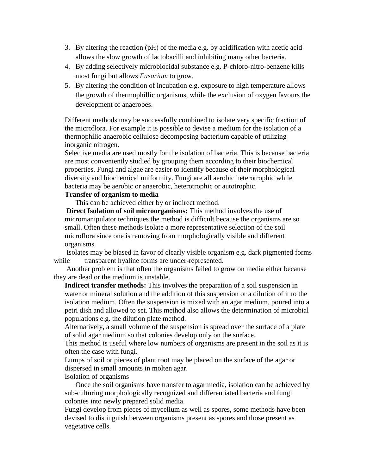- 3. By altering the reaction (pH) of the media e.g. by acidification with acetic acid allows the slow growth of lactobacilli and inhibiting many other bacteria.
- 4. By adding selectively microbiocidal substance e.g. P-chloro-nitro-benzene kills most fungi but allows *Fusarium* to grow.
- 5. By altering the condition of incubation e.g. exposure to high temperature allows the growth of thermophillic organisms, while the exclusion of oxygen favours the development of anaerobes.

Different methods may be successfully combined to isolate very specific fraction of the microflora. For example it is possible to devise a medium for the isolation of a thermophilic anaerobic cellulose decomposing bacterium capable of utilizing inorganic nitrogen.

Selective media are used mostly for the isolation of bacteria. This is because bacteria are most conveniently studied by grouping them according to their biochemical properties. Fungi and algae are easier to identify because of their morphological diversity and biochemical uniformity. Fungi are all aerobic heterotrophic while bacteria may be aerobic or anaerobic, heterotrophic or autotrophic.

#### **Transfer of organism to media**

This can be achieved either by or indirect method.

**Direct Isolation of soil microorganisms:** This method involves the use of micromanipulator techniques the method is difficult because the organisms are so small. Often these methods isolate a more representative selection of the soil microflora since one is removing from morphologically visible and different organisms.

 Isolates may be biased in favor of clearly visible organism e.g. dark pigmented forms while transparent hyaline forms are under-represented.

 Another problem is that often the organisms failed to grow on media either because they are dead or the medium is unstable.

**Indirect transfer methods:** This involves the preparation of a soil suspension in water or mineral solution and the addition of this suspension or a dilution of it to the isolation medium. Often the suspension is mixed with an agar medium, poured into a petri dish and allowed to set. This method also allows the determination of microbial populations e.g. the dilution plate method.

Alternatively, a small volume of the suspension is spread over the surface of a plate of solid agar medium so that colonies develop only on the surface.

This method is useful where low numbers of organisms are present in the soil as it is often the case with fungi.

Lumps of soil or pieces of plant root may be placed on the surface of the agar or dispersed in small amounts in molten agar.

#### Isolation of organisms

 Once the soil organisms have transfer to agar media, isolation can be achieved by sub-culturing morphologically recognized and differentiated bacteria and fungi colonies into newly prepared solid media.

Fungi develop from pieces of mycelium as well as spores, some methods have been devised to distinguish between organisms present as spores and those present as vegetative cells.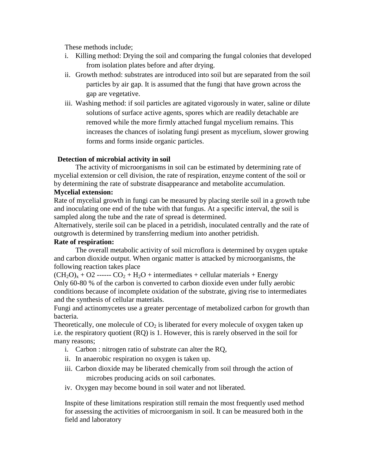These methods include;

- i. Killing method: Drying the soil and comparing the fungal colonies that developed from isolation plates before and after drying.
- ii. Growth method: substrates are introduced into soil but are separated from the soil particles by air gap. It is assumed that the fungi that have grown across the gap are vegetative.
- iii. Washing method: if soil particles are agitated vigorously in water, saline or dilute solutions of surface active agents, spores which are readily detachable are removed while the more firmly attached fungal mycelium remains. This increases the chances of isolating fungi present as mycelium, slower growing forms and forms inside organic particles.

## **Detection of microbial activity in soil**

 The activity of microorganisms in soil can be estimated by determining rate of mycelial extension or cell division, the rate of respiration, enzyme content of the soil or by determining the rate of substrate disappearance and metabolite accumulation.

## **Mycelial extension:**

Rate of mycelial growth in fungi can be measured by placing sterile soil in a growth tube and inoculating one end of the tube with that fungus. At a specific interval, the soil is sampled along the tube and the rate of spread is determined.

Alternatively, sterile soil can be placed in a petridish, inoculated centrally and the rate of outgrowth is determined by transferring medium into another petridish.

## **Rate of respiration:**

 The overall metabolic activity of soil microflora is determined by oxygen uptake and carbon dioxide output. When organic matter is attacked by microorganisms, the following reaction takes place

 $(CH_2O_x + O2$  ------  $CO_2 + H_2O +$  intermediates + cellular materials + Energy Only 60-80 % of the carbon is converted to carbon dioxide even under fully aerobic conditions because of incomplete oxidation of the substrate, giving rise to intermediates and the synthesis of cellular materials.

Fungi and actinomycetes use a greater percentage of metabolized carbon for growth than bacteria.

Theoretically, one molecule of  $CO<sub>2</sub>$  is liberated for every molecule of oxygen taken up i.e. the respiratory quotient (RQ) is 1. However, this is rarely observed in the soil for many reasons;

- i. Carbon : nitrogen ratio of substrate can alter the RQ,
- ii. In anaerobic respiration no oxygen is taken up.
- iii. Carbon dioxide may be liberated chemically from soil through the action of microbes producing acids on soil carbonates.
- iv. Oxygen may become bound in soil water and not liberated.

Inspite of these limitations respiration still remain the most frequently used method for assessing the activities of microorganism in soil. It can be measured both in the field and laboratory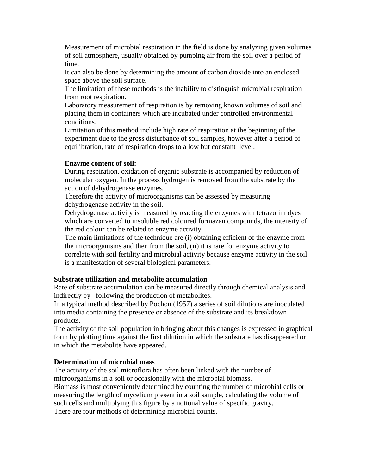Measurement of microbial respiration in the field is done by analyzing given volumes of soil atmosphere, usually obtained by pumping air from the soil over a period of time.

It can also be done by determining the amount of carbon dioxide into an enclosed space above the soil surface.

The limitation of these methods is the inability to distinguish microbial respiration from root respiration.

Laboratory measurement of respiration is by removing known volumes of soil and placing them in containers which are incubated under controlled environmental conditions.

Limitation of this method include high rate of respiration at the beginning of the experiment due to the gross disturbance of soil samples, however after a period of equilibration, rate of respiration drops to a low but constant level.

## **Enzyme content of soil:**

During respiration, oxidation of organic substrate is accompanied by reduction of molecular oxygen. In the process hydrogen is removed from the substrate by the action of dehydrogenase enzymes.

Therefore the activity of microorganisms can be assessed by measuring dehydrogenase activity in the soil.

Dehydrogenase activity is measured by reacting the enzymes with tetrazolim dyes which are converted to insoluble red coloured formazan compounds, the intensity of the red colour can be related to enzyme activity.

The main limitations of the technique are (i) obtaining efficient of the enzyme from the microorganisms and then from the soil, (ii) it is rare for enzyme activity to correlate with soil fertility and microbial activity because enzyme activity in the soil is a manifestation of several biological parameters.

## **Substrate utilization and metabolite accumulation**

Rate of substrate accumulation can be measured directly through chemical analysis and indirectly by following the production of metabolites.

In a typical method described by Pochon (1957) a series of soil dilutions are inoculated into media containing the presence or absence of the substrate and its breakdown products.

The activity of the soil population in bringing about this changes is expressed in graphical form by plotting time against the first dilution in which the substrate has disappeared or in which the metabolite have appeared.

## **Determination of microbial mass**

The activity of the soil microflora has often been linked with the number of microorganisms in a soil or occasionally with the microbial biomass.

Biomass is most conveniently determined by counting the number of microbial cells or measuring the length of mycelium present in a soil sample, calculating the volume of such cells and multiplying this figure by a notional value of specific gravity. There are four methods of determining microbial counts.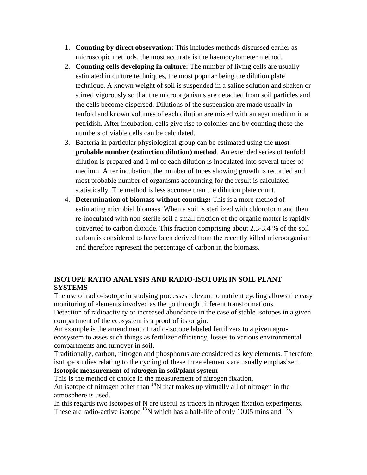- 1. **Counting by direct observation:** This includes methods discussed earlier as microscopic methods, the most accurate is the haemocytometer method.
- 2. **Counting cells developing in culture:** The number of living cells are usually estimated in culture techniques, the most popular being the dilution plate technique. A known weight of soil is suspended in a saline solution and shaken or stirred vigorously so that the microorganisms are detached from soil particles and the cells become dispersed. Dilutions of the suspension are made usually in tenfold and known volumes of each dilution are mixed with an agar medium in a petridish. After incubation, cells give rise to colonies and by counting these the numbers of viable cells can be calculated.
- 3. Bacteria in particular physiological group can be estimated using the **most probable number (extinction dilution) method**. An extended series of tenfold dilution is prepared and 1 ml of each dilution is inoculated into several tubes of medium. After incubation, the number of tubes showing growth is recorded and most probable number of organisms accounting for the result is calculated statistically. The method is less accurate than the dilution plate count.
- 4. **Determination of biomass without counting:** This is a more method of estimating microbial biomass. When a soil is sterilized with chloroform and then re-inoculated with non-sterile soil a small fraction of the organic matter is rapidly converted to carbon dioxide. This fraction comprising about 2.3-3.4 % of the soil carbon is considered to have been derived from the recently killed microorganism and therefore represent the percentage of carbon in the biomass.

## **ISOTOPE RATIO ANALYSIS AND RADIO-ISOTOPE IN SOIL PLANT SYSTEMS**

The use of radio-isotope in studying processes relevant to nutrient cycling allows the easy monitoring of elements involved as the go through different transformations.

Detection of radioactivity or increased abundance in the case of stable isotopes in a given compartment of the ecosystem is a proof of its origin.

An example is the amendment of radio-isotope labeled fertilizers to a given agroecosystem to asses such things as fertilizer efficiency, losses to various environmental compartments and turnover in soil.

Traditionally, carbon, nitrogen and phosphorus are considered as key elements. Therefore isotope studies relating to the cycling of these three elements are usually emphasized.

## **Isotopic measurement of nitrogen in soil/plant system**

This is the method of choice in the measurement of nitrogen fixation.

An isotope of nitrogen other than  $14N$  that makes up virtually all of nitrogen in the atmosphere is used.

In this regards two isotopes of N are useful as tracers in nitrogen fixation experiments. These are radio-active isotope  $^{13}$ N which has a half-life of only 10.05 mins and  $^{15}$ N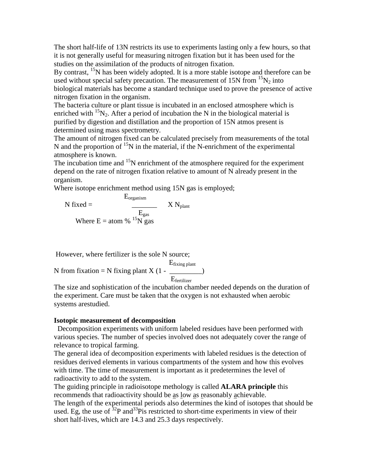The short half-life of 13N restricts its use to experiments lasting only a few hours, so that it is not generally useful for measuring nitrogen fixation but it has been used for the studies on the assimilation of the products of nitrogen fixation.

By contrast,  $^{15}N$  has been widely adopted. It is a more stable isotope and therefore can be used without special safety precaution. The measurement of 15N from  $\rm ^{15}N_{2}$  into biological materials has become a standard technique used to prove the presence of active nitrogen fixation in the organism.

The bacteria culture or plant tissue is incubated in an enclosed atmosphere which is enriched with  ${}^{15}N_2$ . After a period of incubation the N in the biological material is purified by digestion and distillation and the proportion of 15N atmos present is determined using mass spectrometry.

The amount of nitrogen fixed can be calculated precisely from measurements of the total N and the proportion of  $^{15}N$  in the material, if the N-enrichment of the experimental atmosphere is known.

The incubation time and  $15N$  enrichment of the atmosphere required for the experiment depend on the rate of nitrogen fixation relative to amount of N already present in the organism.

Where isotope enrichment method using 15N gas is employed;

$$
N \text{ fixed} = \frac{E_{organism}}{E_{gas}} \qquad X \text{ N}_{plant}
$$
  
Where E = atom % <sup>15</sup>N gas

However, where fertilizer is the sole N source;

 Efixing plant N from fixation = N fixing plant  $X(1 - \cdot)$ Efertilizer

The size and sophistication of the incubation chamber needed depends on the duration of the experiment. Care must be taken that the oxygen is not exhausted when aerobic systems arestudied.

#### **Isotopic measurement of decomposition**

 Decomposition experiments with uniform labeled residues have been performed with various species. The number of species involved does not adequately cover the range of relevance to tropical farming.

The general idea of decomposition experiments with labeled residues is the detection of residues derived elements in various compartments of the system and how this evolves with time. The time of measurement is important as it predetermines the level of radioactivity to add to the system.

The guiding principle in radioisotope methology is called **ALARA principle** this recommends that radioactivity should be as low as reasonably achievable.

The length of the experimental periods also determines the kind of isotopes that should be used. Eg, the use of  $32P$  and  $33P$  is restricted to short-time experiments in view of their short half-lives, which are 14.3 and 25.3 days respectively.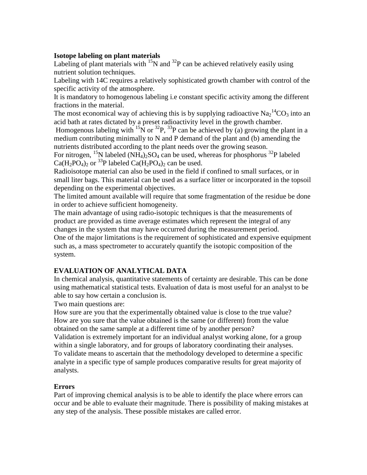#### **Isotope labeling on plant materials**

Labeling of plant materials with  $^{15}N$  and  $^{32}P$  can be achieved relatively easily using nutrient solution techniques.

Labeling with 14C requires a relatively sophisticated growth chamber with control of the specific activity of the atmosphere.

It is mandatory to homogenous labeling i.e constant specific activity among the different fractions in the material.

The most economical way of achieving this is by supplying radioactive  $\text{Na}_2{}^{14}\text{CO}_3$  into an acid bath at rates dictated by a preset radioactivity level in the growth chamber.

Homogenous labeling with <sup>15</sup>N or <sup>32</sup>P, <sup>33</sup>P can be achieved by (a) growing the plant in a medium contributing minimally to N and P demand of the plant and (b) amending the nutrients distributed according to the plant needs over the growing season.

For nitrogen, <sup>15</sup>N labeled (NH<sub>4</sub>)<sub>2</sub>SO<sub>4</sub> can be used, whereas for phosphorus <sup>32</sup>P labeled  $Ca(H_2PO_4)_2$  or <sup>33</sup>P labeled  $Ca(H_2PO_4)_2$  can be used.

Radioisotope material can also be used in the field if confined to small surfaces, or in small liter bags. This material can be used as a surface litter or incorporated in the topsoil depending on the experimental objectives.

The limited amount available will require that some fragmentation of the residue be done in order to achieve sufficient homogeneity.

The main advantage of using radio-isotopic techniques is that the measurements of product are provided as time average estimates which represent the integral of any changes in the system that may have occurred during the measurement period. One of the major limitations is the requirement of sophisticated and expensive equipment such as, a mass spectrometer to accurately quantify the isotopic composition of the system.

## **EVALUATION OF ANALYTICAL DATA**

In chemical analysis, quantitative statements of certainty are desirable. This can be done using mathematical statistical tests. Evaluation of data is most useful for an analyst to be able to say how certain a conclusion is.

Two main questions are:

How sure are you that the experimentally obtained value is close to the true value? How are you sure that the value obtained is the same (or different) from the value obtained on the same sample at a different time of by another person?

Validation is extremely important for an individual analyst working alone, for a group within a single laboratory, and for groups of laboratory coordinating their analyses. To validate means to ascertain that the methodology developed to determine a specific analyte in a specific type of sample produces comparative results for great majority of analysts.

## **Errors**

Part of improving chemical analysis is to be able to identify the place where errors can occur and be able to evaluate their magnitude. There is possibility of making mistakes at any step of the analysis. These possible mistakes are called error.